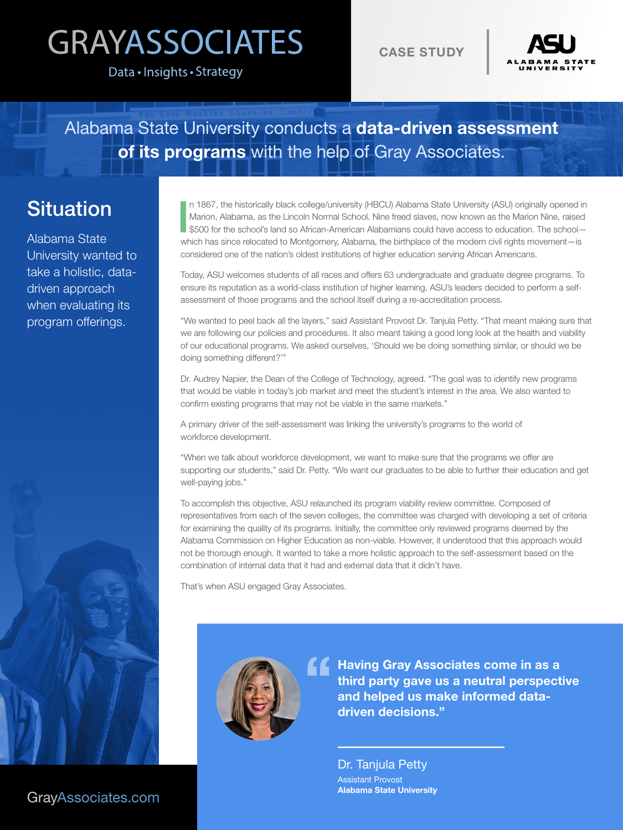## **GRAYASSOCIATES**

Data · Insights · Strategy

CASE STUDY



Alabama State University conducts a data-driven assessment of its programs with the help of Gray Associates.

## **Situation**

Alabama State University wanted to take a holistic, datadriven approach when evaluating its program offerings.

I n 1867, the historically black college/university (HBCU) Alabama State University (ASU) originally opened in Marion, Alabama, as the Lincoln Normal School. Nine freed slaves, now known as the Marion Nine, raised \$500 for the school's land so African-American Alabamians could have access to education. The school which has since relocated to Montgomery, Alabama, the birthplace of the modern civil rights movement—is considered one of the nation's oldest institutions of higher education serving African Americans.

Today, ASU welcomes students of all races and offers 63 undergraduate and graduate degree programs. To ensure its reputation as a world-class institution of higher learning, ASU's leaders decided to perform a selfassessment of those programs and the school itself during a re-accreditation process.

"We wanted to peel back all the layers," said Assistant Provost Dr. Tanjula Petty. "That meant making sure that we are following our policies and procedures. It also meant taking a good long look at the health and viability of our educational programs. We asked ourselves, 'Should we be doing something similar, or should we be doing something different?'"

Dr. Audrey Napier, the Dean of the College of Technology, agreed. "The goal was to identify new programs that would be viable in today's job market and meet the student's interest in the area. We also wanted to confirm existing programs that may not be viable in the same markets."

A primary driver of the self-assessment was linking the university's programs to the world of workforce development.

"When we talk about workforce development, we want to make sure that the programs we offer are supporting our students," said Dr. Petty. "We want our graduates to be able to further their education and get well-paying jobs."

To accomplish this objective, ASU relaunched its program viability review committee. Composed of representatives from each of the seven colleges, the committee was charged with developing a set of criteria for examining the quality of its programs. Initially, the committee only reviewed programs deemed by the Alabama Commission on Higher Education as non-viable. However, it understood that this approach would not be thorough enough. It wanted to take a more holistic approach to the self-assessment based on the combination of internal data that it had and external data that it didn't have.

That's when ASU engaged Gray Associates.



**Having Gray Associates come in as a** third party gave us a neutral perspective and helped us make informed datadriven decisions."

> Dr. Tanjula Petty Assistant Provost Alabama State University

[GrayAssociates.com](https://www.grayassociates.com/)